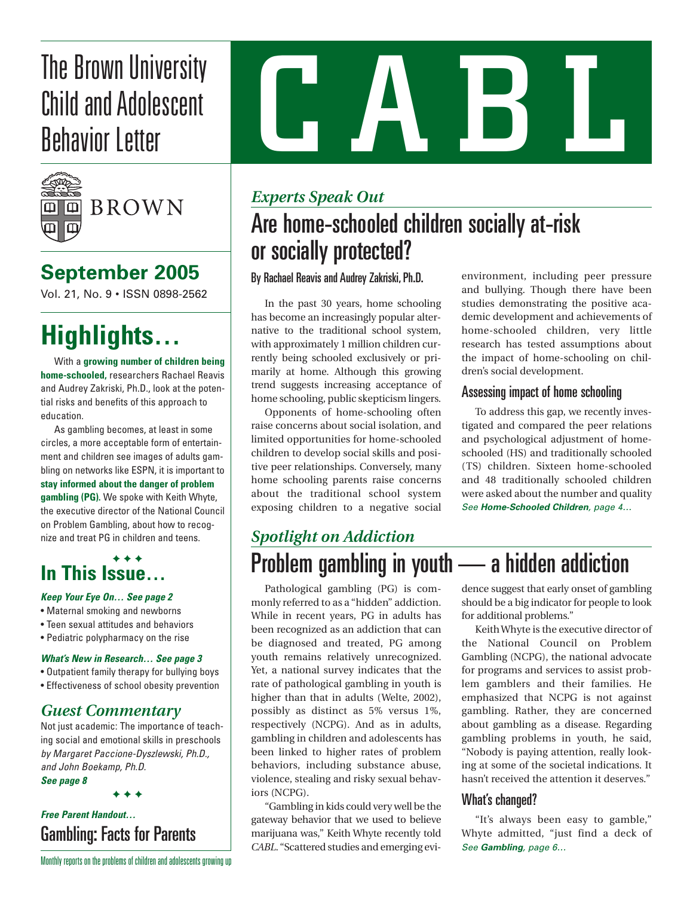# The Brown University<br>Child and Adolescent<br>Behavior Letter Child and Adolescent Behavior Letter



## **September 2005**

Vol. 21, No. 9 • ISSN 0898-2562

# **Highlights…**

With a **growing number of children being home-schooled,** researchers Rachael Reavis and Audrey Zakriski, Ph.D., look at the potential risks and benefits of this approach to education.

As gambling becomes, at least in some circles, a more acceptable form of entertainment and children see images of adults gambling on networks like ESPN, it is important to **stay informed about the danger of problem gambling (PG).** We spoke with Keith Whyte, the executive director of the National Council on Problem Gambling, about how to recognize and treat PG in children and teens.

### **✦ ✦ ✦ ✦ In This Issue…**

- *Keep Your Eye On… See page 2*
- Maternal smoking and newborns
- Teen sexual attitudes and behaviors
- Pediatric polypharmacy on the rise

#### *What's New in Research… See page 3*

- Outpatient family therapy for bullying boys
- Effectiveness of school obesity prevention

## *Guest Commentary*

Not just academic: The importance of teaching social and emotional skills in preschools *by Margaret Paccione-Dyszlewski, Ph.D., and John Boekamp, Ph.D. See page 8*

**✦ ✦ ✦ ✦**

## *Free Parent Handout…* Gambling: Facts for Parents

## *Experts Speak Out*

# Are home-schooled children socially at-risk or socially protected?

#### By Rachael Reavis and Audrey Zakriski, Ph.D.

In the past 30 years, home schooling has become an increasingly popular alternative to the traditional school system, with approximately 1 million children currently being schooled exclusively or primarily at home. Although this growing trend suggests increasing acceptance of home schooling, public skepticism lingers.

Opponents of home-schooling often raise concerns about social isolation, and limited opportunities for home-schooled children to develop social skills and positive peer relationships. Conversely, many home schooling parents raise concerns about the traditional school system exposing children to a negative social environment, including peer pressure and bullying. Though there have been studies demonstrating the positive academic development and achievements of home-schooled children, very little research has tested assumptions about the impact of home-schooling on children's social development.

#### Assessing impact of home schooling

To address this gap, we recently investigated and compared the peer relations and psychological adjustment of homeschooled (HS) and traditionally schooled (TS) children. Sixteen home-schooled and 48 traditionally schooled children were asked about the number and quality *See Home-Schooled Children, page 4…*

# *Spotlight on Addiction* Problem gambling in youth — a hidden addiction

Pathological gambling (PG) is commonly referred to as a "hidden" addiction. While in recent years, PG in adults has been recognized as an addiction that can be diagnosed and treated, PG among youth remains relatively unrecognized. Yet, a national survey indicates that the rate of pathological gambling in youth is higher than that in adults (Welte, 2002), possibly as distinct as 5% versus 1%, respectively (NCPG). And as in adults, gambling in children and adolescents has been linked to higher rates of problem behaviors, including substance abuse, violence, stealing and risky sexual behaviors (NCPG).

"Gambling in kids could very well be the gateway behavior that we used to believe marijuana was," Keith Whyte recently told *CABL*. "Scattered studies and emerging evidence suggest that early onset of gambling should be a big indicator for people to look for additional problems."

Keith Whyte is the executive director of the National Council on Problem Gambling (NCPG), the national advocate for programs and services to assist problem gamblers and their families. He emphasized that NCPG is not against gambling. Rather, they are concerned about gambling as a disease. Regarding gambling problems in youth, he said, "Nobody is paying attention, really looking at some of the societal indications. It hasn't received the attention it deserves."

### What's changed?

"It's always been easy to gamble," Whyte admitted, "just find a deck of *See Gambling, page 6…*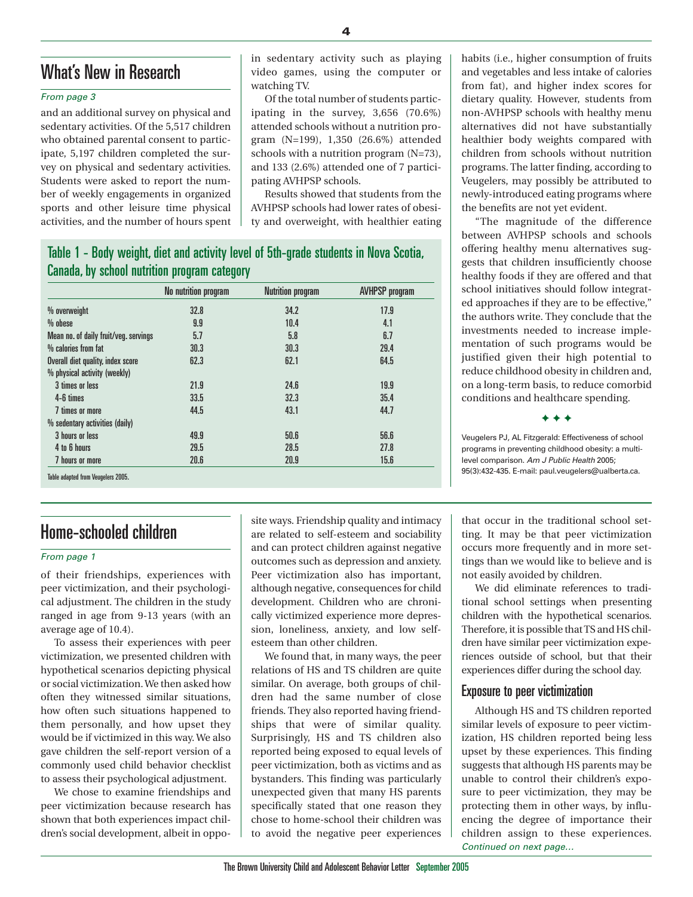## What's New in Research

#### *From page 3*

and an additional survey on physical and sedentary activities. Of the 5,517 children who obtained parental consent to participate, 5,197 children completed the survey on physical and sedentary activities. Students were asked to report the number of weekly engagements in organized sports and other leisure time physical activities, and the number of hours spent in sedentary activity such as playing video games, using the computer or watching TV.

Of the total number of students participating in the survey, 3,656 (70.6%) attended schools without a nutrition program (N=199), 1,350 (26.6%) attended schools with a nutrition program (N=73), and 133 (2.6%) attended one of 7 participating AVHPSP schools.

Results showed that students from the AVHPSP schools had lower rates of obesity and overweight, with healthier eating

### Table 1 - Body weight, diet and activity level of 5th-grade students in Nova Scotia, Canada, by school nutrition program category

|                                       | No nutrition program | <b>Nutrition program</b> | <b>AVHPSP</b> program |
|---------------------------------------|----------------------|--------------------------|-----------------------|
| % overweight                          | 32.8                 | 34.2                     | 17.9                  |
| $%$ obese                             | 9.9                  | 10.4                     | 4.1                   |
| Mean no. of daily fruit/veg. servings | 5.7                  | 5.8                      | 6.7                   |
| % calories from fat                   | 30.3                 | 30.3                     | 29.4                  |
| Overall diet quality, index score     | 62.3                 | 62.1                     | 64.5                  |
| % physical activity (weekly)          |                      |                          |                       |
| 3 times or less                       | 21.9                 | 24.6                     | 19.9                  |
| 4-6 times                             | 33.5                 | 32.3                     | 35.4                  |
| 7 times or more                       | 44.5                 | 43.1                     | 44.7                  |
| % sedentary activities (daily)        |                      |                          |                       |
| 3 hours or less                       | 49.9                 | 50.6                     | 56.6                  |
| 4 to 6 hours                          | 29.5                 | 28.5                     | 27.8                  |
| 7 hours or more                       | 20.6                 | 20.9                     | 15.6                  |

## Home-schooled children

#### *From page 1*

of their friendships, experiences with peer victimization, and their psychological adjustment. The children in the study ranged in age from 9-13 years (with an average age of 10.4).

To assess their experiences with peer victimization, we presented children with hypothetical scenarios depicting physical or social victimization. We then asked how often they witnessed similar situations, how often such situations happened to them personally, and how upset they would be if victimized in this way. We also gave children the self-report version of a commonly used child behavior checklist to assess their psychological adjustment.

We chose to examine friendships and peer victimization because research has shown that both experiences impact children's social development, albeit in opposite ways. Friendship quality and intimacy are related to self-esteem and sociability and can protect children against negative outcomes such as depression and anxiety. Peer victimization also has important, although negative, consequences for child development. Children who are chronically victimized experience more depression, loneliness, anxiety, and low selfesteem than other children.

We found that, in many ways, the peer relations of HS and TS children are quite similar. On average, both groups of children had the same number of close friends. They also reported having friendships that were of similar quality. Surprisingly, HS and TS children also reported being exposed to equal levels of peer victimization, both as victims and as bystanders. This finding was particularly unexpected given that many HS parents specifically stated that one reason they chose to home-school their children was to avoid the negative peer experiences habits (i.e., higher consumption of fruits and vegetables and less intake of calories from fat), and higher index scores for dietary quality. However, students from non-AVHPSP schools with healthy menu alternatives did not have substantially healthier body weights compared with children from schools without nutrition programs. The latter finding, according to Veugelers, may possibly be attributed to newly-introduced eating programs where the benefits are not yet evident.

"The magnitude of the difference between AVHPSP schools and schools offering healthy menu alternatives suggests that children insufficiently choose healthy foods if they are offered and that school initiatives should follow integrated approaches if they are to be effective," the authors write. They conclude that the investments needed to increase implementation of such programs would be justified given their high potential to reduce childhood obesity in children and, on a long-term basis, to reduce comorbid conditions and healthcare spending.

**✦ ✦ ✦**

Veugelers PJ, AL Fitzgerald: Effectiveness of school programs in preventing childhood obesity: a multilevel comparison. *Am J Public Health* 2005; 95(3):432-435. E-mail: paul.veugelers@ualberta.ca.

that occur in the traditional school setting. It may be that peer victimization occurs more frequently and in more settings than we would like to believe and is not easily avoided by children.

We did eliminate references to traditional school settings when presenting children with the hypothetical scenarios. Therefore, it is possible that TS and HS children have similar peer victimization experiences outside of school, but that their experiences differ during the school day.

#### Exposure to peer victimization

Although HS and TS children reported similar levels of exposure to peer victimization, HS children reported being less upset by these experiences. This finding suggests that although HS parents may be unable to control their children's exposure to peer victimization, they may be protecting them in other ways, by influencing the degree of importance their children assign to these experiences. *Continued on next page…*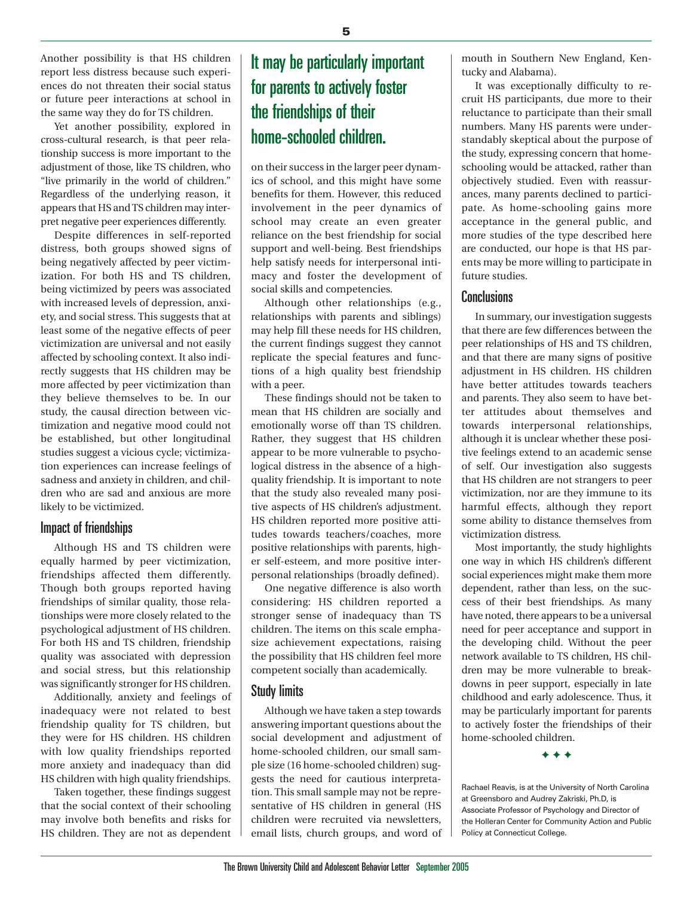Another possibility is that HS children report less distress because such experiences do not threaten their social status or future peer interactions at school in the same way they do for TS children.

Yet another possibility, explored in cross-cultural research, is that peer relationship success is more important to the adjustment of those, like TS children, who "live primarily in the world of children." Regardless of the underlying reason, it appears that HS and TS children may interpret negative peer experiences differently.

Despite differences in self-reported distress, both groups showed signs of being negatively affected by peer victimization. For both HS and TS children, being victimized by peers was associated with increased levels of depression, anxiety, and social stress. This suggests that at least some of the negative effects of peer victimization are universal and not easily affected by schooling context. It also indirectly suggests that HS children may be more affected by peer victimization than they believe themselves to be. In our study, the causal direction between victimization and negative mood could not be established, but other longitudinal studies suggest a vicious cycle; victimization experiences can increase feelings of sadness and anxiety in children, and children who are sad and anxious are more likely to be victimized.

#### Impact of friendships

Although HS and TS children were equally harmed by peer victimization, friendships affected them differently. Though both groups reported having friendships of similar quality, those relationships were more closely related to the psychological adjustment of HS children. For both HS and TS children, friendship quality was associated with depression and social stress, but this relationship was significantly stronger for HS children.

Additionally, anxiety and feelings of inadequacy were not related to best friendship quality for TS children, but they were for HS children. HS children with low quality friendships reported more anxiety and inadequacy than did HS children with high quality friendships.

Taken together, these findings suggest that the social context of their schooling may involve both benefits and risks for HS children. They are not as dependent

## It may be particularly important for parents to actively foster the friendships of their home-schooled children.

on their success in the larger peer dynamics of school, and this might have some benefits for them. However, this reduced involvement in the peer dynamics of school may create an even greater reliance on the best friendship for social support and well-being. Best friendships help satisfy needs for interpersonal intimacy and foster the development of social skills and competencies.

Although other relationships (e.g., relationships with parents and siblings) may help fill these needs for HS children, the current findings suggest they cannot replicate the special features and functions of a high quality best friendship with a peer.

These findings should not be taken to mean that HS children are socially and emotionally worse off than TS children. Rather, they suggest that HS children appear to be more vulnerable to psychological distress in the absence of a highquality friendship. It is important to note that the study also revealed many positive aspects of HS children's adjustment. HS children reported more positive attitudes towards teachers/coaches, more positive relationships with parents, higher self-esteem, and more positive interpersonal relationships (broadly defined).

One negative difference is also worth considering: HS children reported a stronger sense of inadequacy than TS children. The items on this scale emphasize achievement expectations, raising the possibility that HS children feel more competent socially than academically.

#### Study limits

Although we have taken a step towards answering important questions about the social development and adjustment of home-schooled children, our small sample size (16 home-schooled children) suggests the need for cautious interpretation. This small sample may not be representative of HS children in general (HS children were recruited via newsletters, email lists, church groups, and word of mouth in Southern New England, Kentucky and Alabama).

It was exceptionally difficulty to recruit HS participants, due more to their reluctance to participate than their small numbers. Many HS parents were understandably skeptical about the purpose of the study, expressing concern that homeschooling would be attacked, rather than objectively studied. Even with reassurances, many parents declined to participate. As home-schooling gains more acceptance in the general public, and more studies of the type described here are conducted, our hope is that HS parents may be more willing to participate in future studies.

#### **Conclusions**

In summary, our investigation suggests that there are few differences between the peer relationships of HS and TS children, and that there are many signs of positive adjustment in HS children. HS children have better attitudes towards teachers and parents. They also seem to have better attitudes about themselves and towards interpersonal relationships, although it is unclear whether these positive feelings extend to an academic sense of self. Our investigation also suggests that HS children are not strangers to peer victimization, nor are they immune to its harmful effects, although they report some ability to distance themselves from victimization distress.

Most importantly, the study highlights one way in which HS children's different social experiences might make them more dependent, rather than less, on the success of their best friendships. As many have noted, there appears to be a universal need for peer acceptance and support in the developing child. Without the peer network available to TS children, HS children may be more vulnerable to breakdowns in peer support, especially in late childhood and early adolescence. Thus, it may be particularly important for parents to actively foster the friendships of their home-schooled children.

**✦ ✦ ✦**

Rachael Reavis, is at the University of North Carolina at Greensboro and Audrey Zakriski, Ph.D, is Associate Professor of Psychology and Director of the Holleran Center for Community Action and Public Policy at Connecticut College.